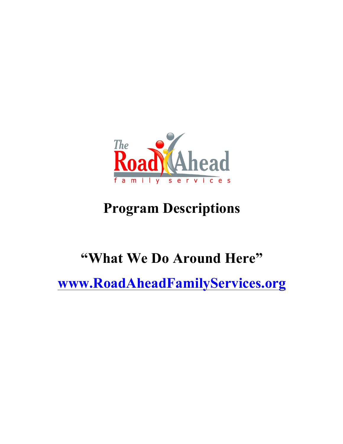

# **Program Descriptions**

# **"What We Do Around Here"**

**www.RoadAheadFamilyServices.org**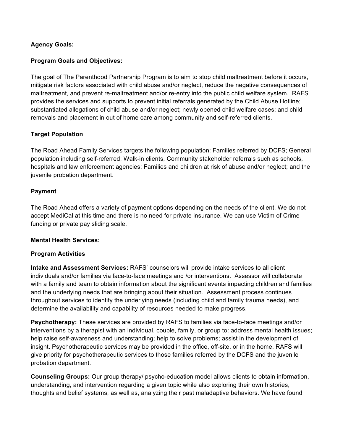## **Agency Goals:**

#### **Program Goals and Objectives:**

The goal of The Parenthood Partnership Program is to aim to stop child maltreatment before it occurs, mitigate risk factors associated with child abuse and/or neglect, reduce the negative consequences of maltreatment, and prevent re-maltreatment and/or re-entry into the public child welfare system. RAFS provides the services and supports to prevent initial referrals generated by the Child Abuse Hotline; substantiated allegations of child abuse and/or neglect; newly opened child welfare cases; and child removals and placement in out of home care among community and self-referred clients.

#### **Target Population**

The Road Ahead Family Services targets the following population: Families referred by DCFS; General population including self-referred; Walk-in clients, Community stakeholder referrals such as schools, hospitals and law enforcement agencies; Families and children at risk of abuse and/or neglect; and the juvenile probation department.

#### **Payment**

The Road Ahead offers a variety of payment options depending on the needs of the client. We do not accept MediCal at this time and there is no need for private insurance. We can use Victim of Crime funding or private pay sliding scale.

#### **Mental Health Services:**

#### **Program Activities**

**Intake and Assessment Services:** RAFS' counselors will provide intake services to all client individuals and/or families via face-to-face meetings and /or interventions. Assessor will collaborate with a family and team to obtain information about the significant events impacting children and families and the underlying needs that are bringing about their situation. Assessment process continues throughout services to identify the underlying needs (including child and family trauma needs), and determine the availability and capability of resources needed to make progress.

**Psychotherapy:** These services are provided by RAFS to families via face-to-face meetings and/or interventions by a therapist with an individual, couple, family, or group to: address mental health issues; help raise self-awareness and understanding; help to solve problems; assist in the development of insight. Psychotherapeutic services may be provided in the office, off-site, or in the home. RAFS will give priority for psychotherapeutic services to those families referred by the DCFS and the juvenile probation department.

**Counseling Groups:** Our group therapy/ psycho-education model allows clients to obtain information, understanding, and intervention regarding a given topic while also exploring their own histories, thoughts and belief systems, as well as, analyzing their past maladaptive behaviors. We have found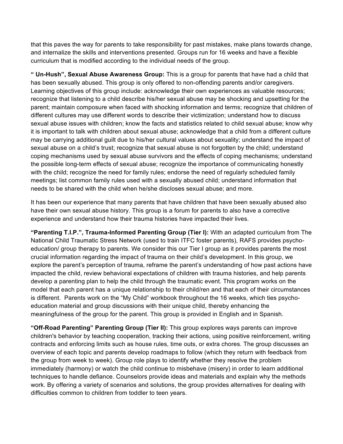that this paves the way for parents to take responsibility for past mistakes, make plans towards change, and internalize the skills and interventions presented. Groups run for 16 weeks and have a flexible curriculum that is modified according to the individual needs of the group.

**" Un-Hush", Sexual Abuse Awareness Group:** This is a group for parents that have had a child that has been sexually abused. This group is only offered to non-offending parents and/or caregivers. Learning objectives of this group include: acknowledge their own experiences as valuable resources; recognize that listening to a child describe his/her sexual abuse may be shocking and upsetting for the parent; maintain composure when faced with shocking information and terms; recognize that children of different cultures may use different words to describe their victimization; understand how to discuss sexual abuse issues with children; know the facts and statistics related to child sexual abuse; know why it is important to talk with children about sexual abuse; acknowledge that a child from a different culture may be carrying additional guilt due to his/her cultural values about sexuality; understand the impact of sexual abuse on a child's trust; recognize that sexual abuse is not forgotten by the child; understand coping mechanisms used by sexual abuse survivors and the effects of coping mechanisms; understand the possible long-term effects of sexual abuse; recognize the importance of communicating honestly with the child; recognize the need for family rules; endorse the need of regularly scheduled family meetings; list common family rules used with a sexually abused child; understand information that needs to be shared with the child when he/she discloses sexual abuse; and more.

It has been our experience that many parents that have children that have been sexually abused also have their own sexual abuse history. This group is a forum for parents to also have a corrective experience and understand how their trauma histories have impacted their lives.

**"Parenting T.I.P.", Trauma-Informed Parenting Group (Tier I):** With an adapted curriculum from The National Child Traumatic Stress Network (used to train ITFC foster parents), RAFS provides psychoeducation/ group therapy to parents. We consider this our Tier I group as it provides parents the most crucial information regarding the impact of trauma on their child's development. In this group, we explore the parent's perception of trauma, reframe the parent's understanding of how past actions have impacted the child, review behavioral expectations of children with trauma histories, and help parents develop a parenting plan to help the child through the traumatic event. This program works on the model that each parent has a unique relationship to their child/ren and that each of their circumstances is different. Parents work on the "My Child" workbook throughout the 16 weeks, which ties psychoeducation material and group discussions with their unique child, thereby enhancing the meaningfulness of the group for the parent. This group is provided in English and in Spanish.

**"Off-Road Parenting" Parenting Group (Tier II):** This group explores ways parents can improve children's behavior by teaching cooperation, tracking their actions, using positive reinforcement, writing contracts and enforcing limits such as house rules, time outs, or extra chores. The group discusses an overview of each topic and parents develop roadmaps to follow (which they return with feedback from the group from week to week). Group role plays to identify whether they resolve the problem immediately (harmony) or watch the child continue to misbehave (misery) in order to learn additional techniques to handle defiance. Counselors provide ideas and materials and explain why the methods work. By offering a variety of scenarios and solutions, the group provides alternatives for dealing with difficulties common to children from toddler to teen years.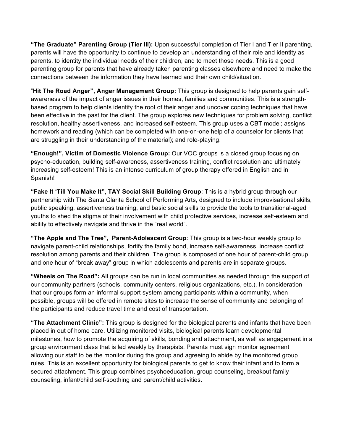**"The Graduate" Parenting Group (Tier III):** Upon successful completion of Tier I and Tier II parenting, parents will have the opportunity to continue to develop an understanding of their role and identity as parents, to identity the individual needs of their children, and to meet those needs. This is a good parenting group for parents that have already taken parenting classes elsewhere and need to make the connections between the information they have learned and their own child/situation.

"**Hit The Road Anger", Anger Management Group:** This group is designed to help parents gain selfawareness of the impact of anger issues in their homes, families and communities. This is a strengthbased program to help clients identify the root of their anger and uncover coping techniques that have been effective in the past for the client. The group explores new techniques for problem solving, conflict resolution, healthy assertiveness, and increased self-esteem. This group uses a CBT model; assigns homework and reading (which can be completed with one-on-one help of a counselor for clients that are struggling in their understanding of the material); and role-playing.

**"Enough!", Victim of Domestic Violence Group:** Our VOC groups is a closed group focusing on psycho-education, building self-awareness, assertiveness training, conflict resolution and ultimately increasing self-esteem! This is an intense curriculum of group therapy offered in English and in Spanish!

**"Fake It 'Till You Make It", TAY Social Skill Building Group**: This is a hybrid group through our partnership with The Santa Clarita School of Performing Arts, designed to include improvisational skills, public speaking, assertiveness training, and basic social skills to provide the tools to transitional-aged youths to shed the stigma of their involvement with child protective services, increase self-esteem and ability to effectively navigate and thrive in the "real world".

**"The Apple and The Tree", Parent-Adolescent Group**: This group is a two-hour weekly group to navigate parent-child relationships, fortify the family bond, increase self-awareness, increase conflict resolution among parents and their children. The group is composed of one hour of parent-child group and one hour of "break away" group in which adolescents and parents are in separate groups.

**"Wheels on The Road":** All groups can be run in local communities as needed through the support of our community partners (schools, community centers, religious organizations, etc.). In consideration that our groups form an informal support system among participants within a community, when possible, groups will be offered in remote sites to increase the sense of community and belonging of the participants and reduce travel time and cost of transportation.

**"The Attachment Clinic":** This group is designed for the biological parents and infants that have been placed in out of home care. Utilizing monitored visits, biological parents learn developmental milestones, how to promote the acquiring of skills, bonding and attachment, as well as engagement in a group environment class that is led weekly by therapists. Parents must sign monitor agreement allowing our staff to be the monitor during the group and agreeing to abide by the monitored group rules. This is an excellent opportunity for biological parents to get to know their infant and to form a secured attachment. This group combines psychoeducation, group counseling, breakout family counseling, infant/child self-soothing and parent/child activities.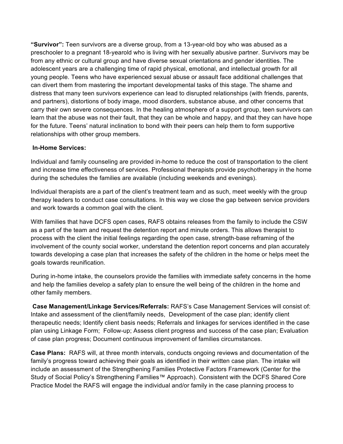**"Survivor":** Teen survivors are a diverse group, from a 13-year-old boy who was abused as a preschooler to a pregnant 18-yearold who is living with her sexually abusive partner. Survivors may be from any ethnic or cultural group and have diverse sexual orientations and gender identities. The adolescent years are a challenging time of rapid physical, emotional, and intellectual growth for all young people. Teens who have experienced sexual abuse or assault face additional challenges that can divert them from mastering the important developmental tasks of this stage. The shame and distress that many teen survivors experience can lead to disrupted relationships (with friends, parents, and partners), distortions of body image, mood disorders, substance abuse, and other concerns that carry their own severe consequences. In the healing atmosphere of a support group, teen survivors can learn that the abuse was not their fault, that they can be whole and happy, and that they can have hope for the future. Teens' natural inclination to bond with their peers can help them to form supportive relationships with other group members.

#### **In-Home Services:**

Individual and family counseling are provided in-home to reduce the cost of transportation to the client and increase time effectiveness of services. Professional therapists provide psychotherapy in the home during the schedules the families are available (including weekends and evenings).

Individual therapists are a part of the client's treatment team and as such, meet weekly with the group therapy leaders to conduct case consultations. In this way we close the gap between service providers and work towards a common goal with the client.

With families that have DCFS open cases, RAFS obtains releases from the family to include the CSW as a part of the team and request the detention report and minute orders. This allows therapist to process with the client the initial feelings regarding the open case, strength-base reframing of the involvement of the county social worker, understand the detention report concerns and plan accurately towards developing a case plan that increases the safety of the children in the home or helps meet the goals towards reunification.

During in-home intake, the counselors provide the families with immediate safety concerns in the home and help the families develop a safety plan to ensure the well being of the children in the home and other family members.

**Case Management/Linkage Services/Referrals:** RAFS's Case Management Services will consist of: Intake and assessment of the client/family needs, Development of the case plan; identify client therapeutic needs; Identify client basis needs; Referrals and linkages for services identified in the case plan using Linkage Form; Follow-up; Assess client progress and success of the case plan; Evaluation of case plan progress; Document continuous improvement of families circumstances.

**Case Plans:** RAFS will, at three month intervals, conducts ongoing reviews and documentation of the family's progress toward achieving their goals as identified in their written case plan. The intake will include an assessment of the Strengthening Families Protective Factors Framework (Center for the Study of Social Policy's Strengthening Families™ Approach). Consistent with the DCFS Shared Core Practice Model the RAFS will engage the individual and/or family in the case planning process to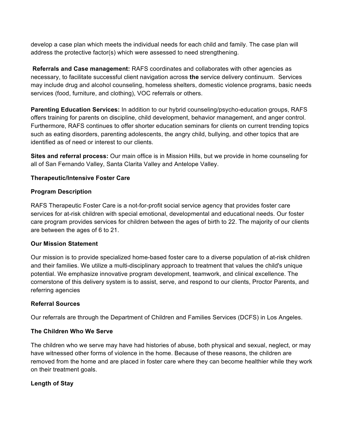develop a case plan which meets the individual needs for each child and family. The case plan will address the protective factor(s) which were assessed to need strengthening.

**Referrals and Case management:** RAFS coordinates and collaborates with other agencies as necessary, to facilitate successful client navigation across **the** service delivery continuum. Services may include drug and alcohol counseling, homeless shelters, domestic violence programs, basic needs services (food, furniture, and clothing), VOC referrals or others.

**Parenting Education Services:** In addition to our hybrid counseling/psycho-education groups, RAFS offers training for parents on discipline, child development, behavior management, and anger control. Furthermore, RAFS continues to offer shorter education seminars for clients on current trending topics such as eating disorders, parenting adolescents, the angry child, bullying, and other topics that are identified as of need or interest to our clients.

**Sites and referral process:** Our main office is in Mission Hills, but we provide in home counseling for all of San Fernando Valley, Santa Clarita Valley and Antelope Valley.

## **Therapeutic/Intensive Foster Care**

#### **Program Description**

RAFS Therapeutic Foster Care is a not-for-profit social service agency that provides foster care services for at-risk children with special emotional, developmental and educational needs. Our foster care program provides services for children between the ages of birth to 22. The majority of our clients are between the ages of 6 to 21.

#### **Our Mission Statement**

Our mission is to provide specialized home-based foster care to a diverse population of at-risk children and their families. We utilize a multi-disciplinary approach to treatment that values the child's unique potential. We emphasize innovative program development, teamwork, and clinical excellence. The cornerstone of this delivery system is to assist, serve, and respond to our clients, Proctor Parents, and referring agencies

#### **Referral Sources**

Our referrals are through the Department of Children and Families Services (DCFS) in Los Angeles.

#### **The Children Who We Serve**

The children who we serve may have had histories of abuse, both physical and sexual, neglect, or may have witnessed other forms of violence in the home. Because of these reasons, the children are removed from the home and are placed in foster care where they can become healthier while they work on their treatment goals.

#### **Length of Stay**